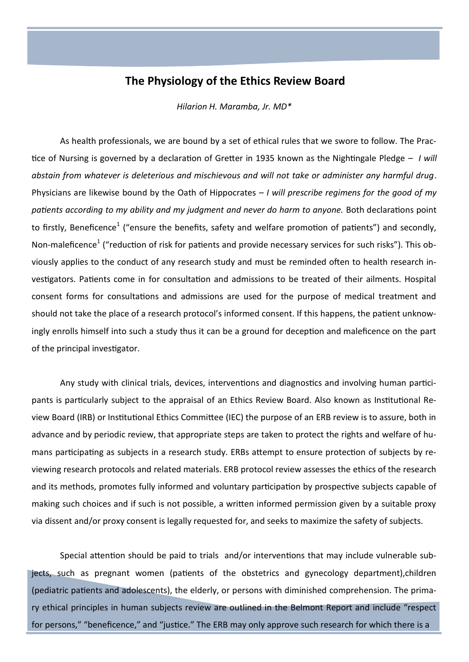## **The Physiology of the Ethics Review Board**

*Hilarion H. Maramba, Jr. MD\**

As health professionals, we are bound by a set of ethical rules that we swore to follow. The Practice of Nursing is governed by a declaration of Gretter in 1935 known as the Nightingale Pledge – *I will abstain from whatever is deleterious and mischievous and will not take or administer any harmful drug*. Physicians are likewise bound by the Oath of Hippocrates – *I will prescribe regimens for the good of my patients according to my ability and my judgment and never do harm to anyone.* Both declarations point to firstly, Beneficence<sup>1</sup> ("ensure the benefits, safety and welfare promotion of patients") and secondly, Non-maleficence<sup>1</sup> ("reduction of risk for patients and provide necessary services for such risks"). This obviously applies to the conduct of any research study and must be reminded often to health research investigators. Patients come in for consultation and admissions to be treated of their ailments. Hospital consent forms for consultations and admissions are used for the purpose of medical treatment and should not take the place of a research protocol's informed consent. If this happens, the patient unknowingly enrolls himself into such a study thus it can be a ground for deception and maleficence on the part of the principal investigator.

Any study with clinical trials, devices, interventions and diagnostics and involving human participants is particularly subject to the appraisal of an Ethics Review Board. Also known as Institutional Review Board (IRB) or Institutional Ethics Committee (IEC) the purpose of an ERB review is to assure, both in advance and by periodic review, that appropriate steps are taken to protect the rights and welfare of humans participating as subjects in a research study. ERBs attempt to ensure protection of subjects by reviewing research protocols and related materials. ERB protocol review assesses the ethics of the research and its methods, promotes fully informed and voluntary participation by prospective subjects capable of making such choices and if such is not possible, a written informed permission given by a suitable proxy via dissent and/or proxy consent is legally requested for, and seeks to maximize the safety of subjects.

Special attention should be paid to trials and/or interventions that may include vulnerable subjects, such as pregnant women (patients of the obstetrics and gynecology department),children (pediatric patients and adolescents), the elderly, or persons with diminished comprehension. The primary ethical principles in human subjects review are outlined in the Belmont Report and include "respect for persons," "beneficence," and "justice." The ERB may only approve such research for which there is a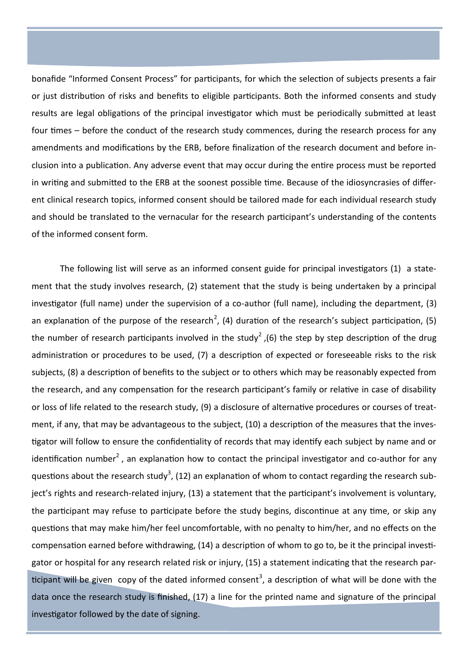bonafide "Informed Consent Process" for participants, for which the selection of subjects presents a fair or just distribution of risks and benefits to eligible participants. Both the informed consents and study results are legal obligations of the principal investigator which must be periodically submitted at least four times – before the conduct of the research study commences, during the research process for any amendments and modifications by the ERB, before finalization of the research document and before inclusion into a publication. Any adverse event that may occur during the entire process must be reported in writing and submitted to the ERB at the soonest possible time. Because of the idiosyncrasies of different clinical research topics, informed consent should be tailored made for each individual research study and should be translated to the vernacular for the research participant's understanding of the contents of the informed consent form.

The following list will serve as an informed consent guide for principal investigators (1) a statement that the study involves research, (2) statement that the study is being undertaken by a principal investigator (full name) under the supervision of a co-author (full name), including the department, (3) an explanation of the purpose of the research<sup>2</sup>, (4) duration of the research's subject participation, (5) the number of research participants involved in the study<sup>2</sup>, (6) the step by step description of the drug administration or procedures to be used, (7) a description of expected or foreseeable risks to the risk subjects, (8) a description of benefits to the subject or to others which may be reasonably expected from the research, and any compensation for the research participant's family or relative in case of disability or loss of life related to the research study, (9) a disclosure of alternative procedures or courses of treatment, if any, that may be advantageous to the subject, (10) a description of the measures that the investigator will follow to ensure the confidentiality of records that may identify each subject by name and or identification number<sup>2</sup>, an explanation how to contact the principal investigator and co-author for any questions about the research study<sup>3</sup>, (12) an explanation of whom to contact regarding the research subject's rights and research-related injury, (13) a statement that the participant's involvement is voluntary, the participant may refuse to participate before the study begins, discontinue at any time, or skip any questions that may make him/her feel uncomfortable, with no penalty to him/her, and no effects on the compensation earned before withdrawing, (14) a description of whom to go to, be it the principal investigator or hospital for any research related risk or injury, (15) a statement indicating that the research participant will be given copy of the dated informed consent<sup>3</sup>, a description of what will be done with the data once the research study is finished, (17) a line for the printed name and signature of the principal investigator followed by the date of signing.